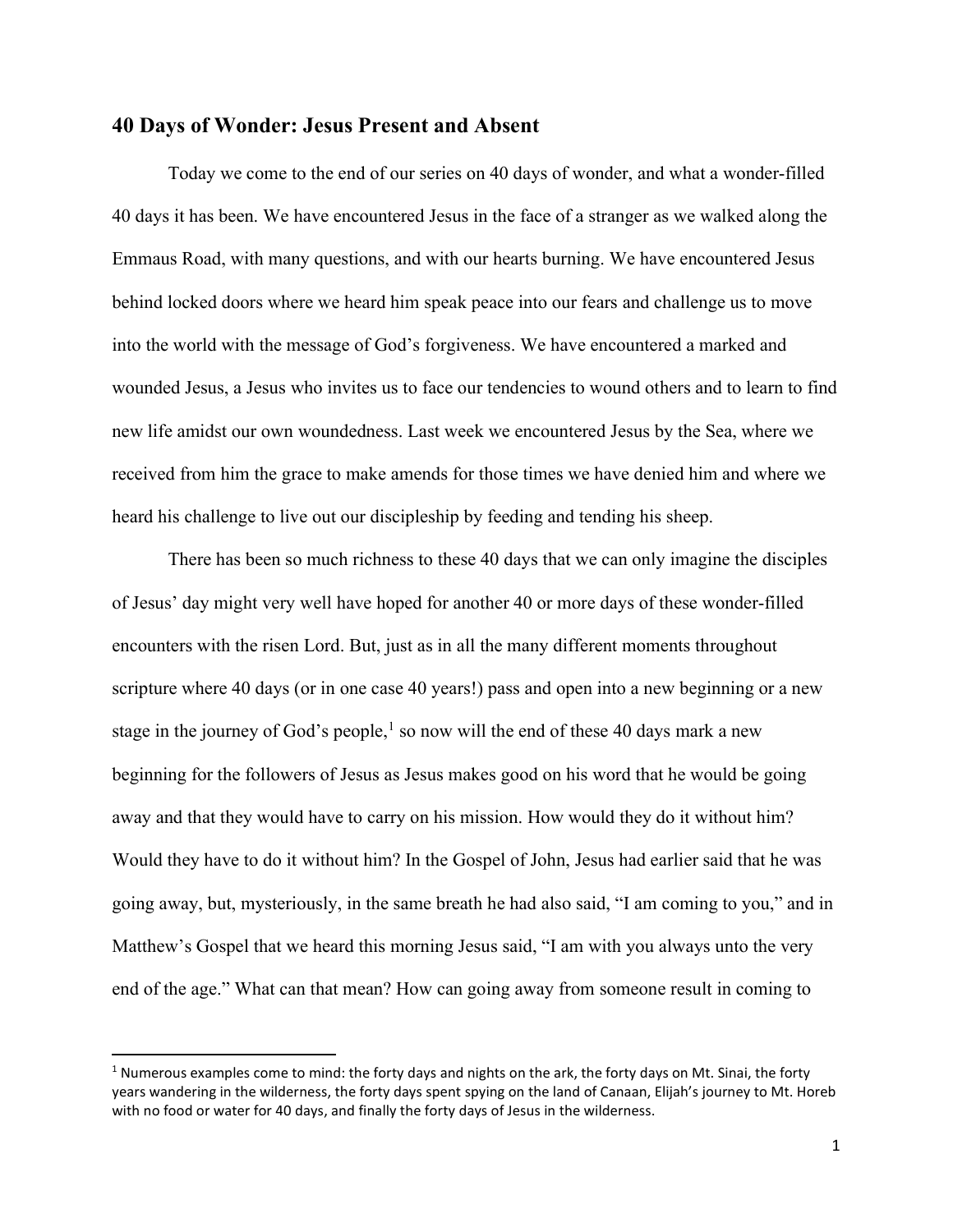## 40 Days of Wonder: Jesus Present and Absent

Today we come to the end of our series on 40 days of wonder, and what a wonder-filled 40 days it has been. We have encountered Jesus in the face of a stranger as we walked along the Emmaus Road, with many questions, and with our hearts burning. We have encountered Jesus behind locked doors where we heard him speak peace into our fears and challenge us to move into the world with the message of God's forgiveness. We have encountered a marked and wounded Jesus, a Jesus who invites us to face our tendencies to wound others and to learn to find new life amidst our own woundedness. Last week we encountered Jesus by the Sea, where we received from him the grace to make amends for those times we have denied him and where we heard his challenge to live out our discipleship by feeding and tending his sheep.

There has been so much richness to these 40 days that we can only imagine the disciples of Jesus' day might very well have hoped for another 40 or more days of these wonder-filled encounters with the risen Lord. But, just as in all the many different moments throughout scripture where 40 days (or in one case 40 years!) pass and open into a new beginning or a new stage in the journey of God's people,<sup>1</sup> so now will the end of these 40 days mark a new beginning for the followers of Jesus as Jesus makes good on his word that he would be going away and that they would have to carry on his mission. How would they do it without him? Would they have to do it without him? In the Gospel of John, Jesus had earlier said that he was going away, but, mysteriously, in the same breath he had also said, "I am coming to you," and in Matthew's Gospel that we heard this morning Jesus said, "I am with you always unto the very end of the age." What can that mean? How can going away from someone result in coming to

<sup>&</sup>lt;sup>1</sup> Numerous examples come to mind: the forty days and nights on the ark, the forty days on Mt. Sinai, the forty years wandering in the wilderness, the forty days spent spying on the land of Canaan, Elijah's journey to Mt. Horeb with no food or water for 40 days, and finally the forty days of Jesus in the wilderness.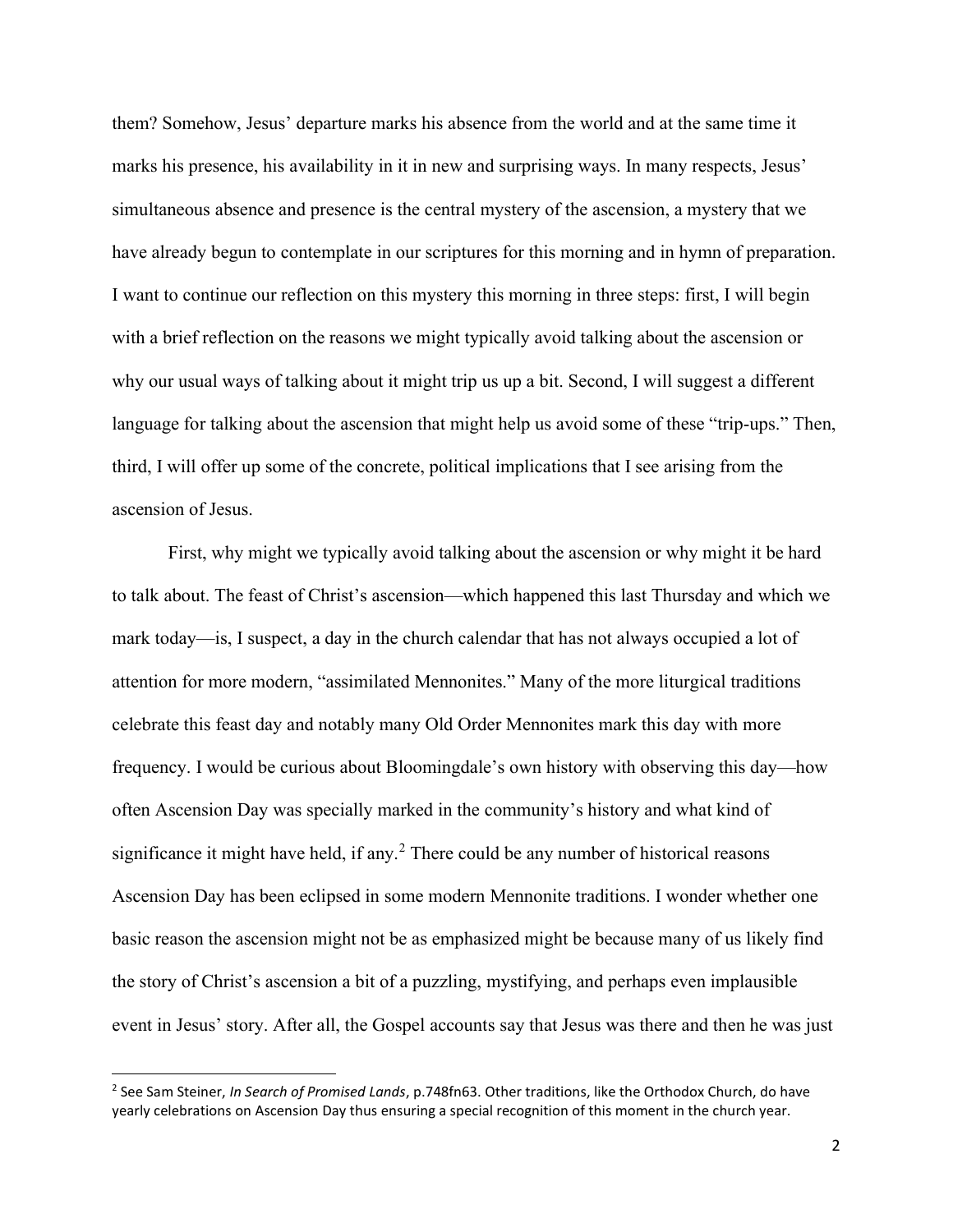them? Somehow, Jesus' departure marks his absence from the world and at the same time it marks his presence, his availability in it in new and surprising ways. In many respects, Jesus' simultaneous absence and presence is the central mystery of the ascension, a mystery that we have already begun to contemplate in our scriptures for this morning and in hymn of preparation. I want to continue our reflection on this mystery this morning in three steps: first, I will begin with a brief reflection on the reasons we might typically avoid talking about the ascension or why our usual ways of talking about it might trip us up a bit. Second, I will suggest a different language for talking about the ascension that might help us avoid some of these "trip-ups." Then, third, I will offer up some of the concrete, political implications that I see arising from the ascension of Jesus.

 First, why might we typically avoid talking about the ascension or why might it be hard to talk about. The feast of Christ's ascension—which happened this last Thursday and which we mark today—is, I suspect, a day in the church calendar that has not always occupied a lot of attention for more modern, "assimilated Mennonites." Many of the more liturgical traditions celebrate this feast day and notably many Old Order Mennonites mark this day with more frequency. I would be curious about Bloomingdale's own history with observing this day—how often Ascension Day was specially marked in the community's history and what kind of significance it might have held, if any.<sup>2</sup> There could be any number of historical reasons Ascension Day has been eclipsed in some modern Mennonite traditions. I wonder whether one basic reason the ascension might not be as emphasized might be because many of us likely find the story of Christ's ascension a bit of a puzzling, mystifying, and perhaps even implausible event in Jesus' story. After all, the Gospel accounts say that Jesus was there and then he was just

<sup>&</sup>lt;sup>2</sup> See Sam Steiner, *In Search of Promised Lands*, p.748fn63. Other traditions, like the Orthodox Church, do have yearly celebrations on Ascension Day thus ensuring a special recognition of this moment in the church year.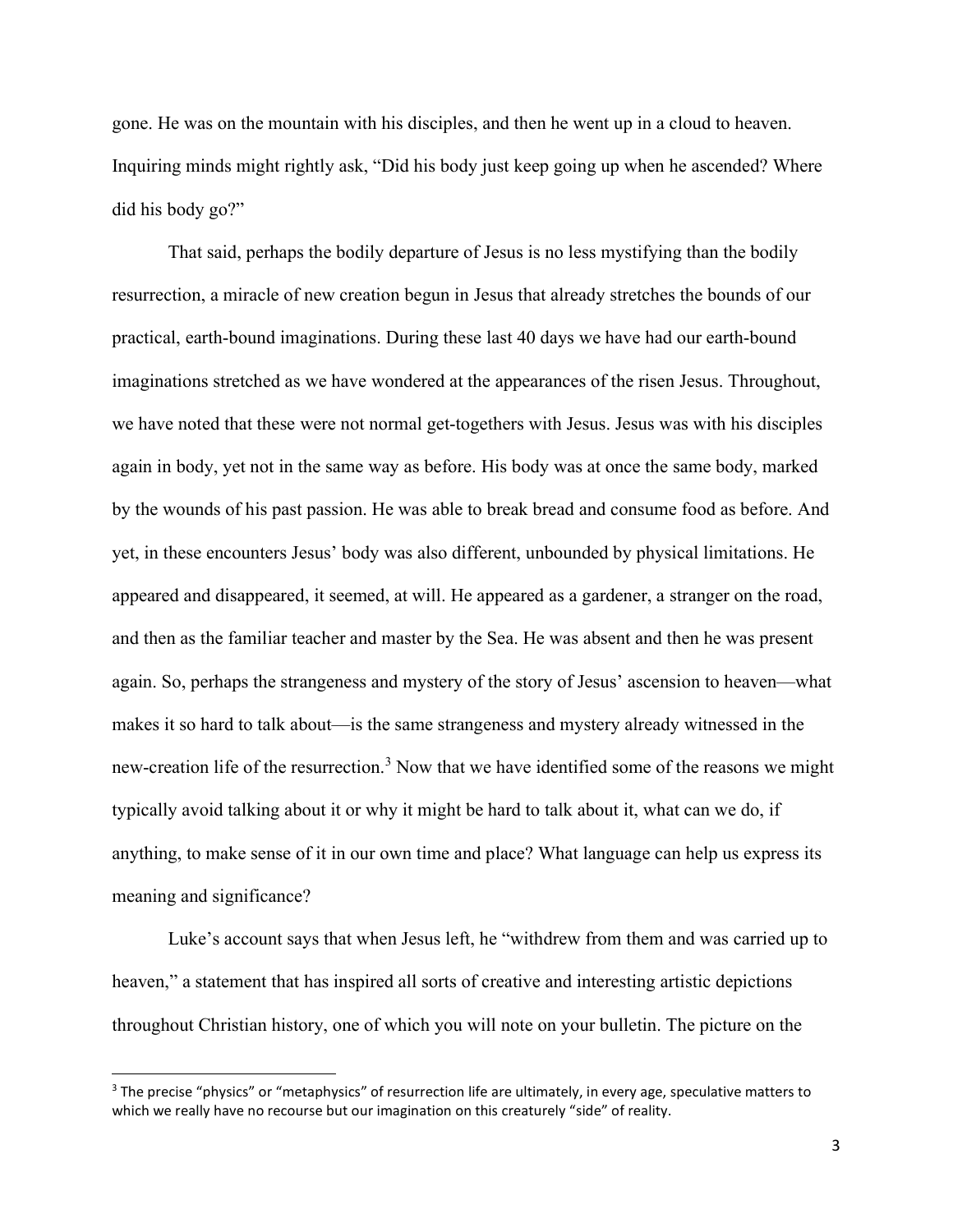gone. He was on the mountain with his disciples, and then he went up in a cloud to heaven. Inquiring minds might rightly ask, "Did his body just keep going up when he ascended? Where did his body go?"

That said, perhaps the bodily departure of Jesus is no less mystifying than the bodily resurrection, a miracle of new creation begun in Jesus that already stretches the bounds of our practical, earth-bound imaginations. During these last 40 days we have had our earth-bound imaginations stretched as we have wondered at the appearances of the risen Jesus. Throughout, we have noted that these were not normal get-togethers with Jesus. Jesus was with his disciples again in body, yet not in the same way as before. His body was at once the same body, marked by the wounds of his past passion. He was able to break bread and consume food as before. And yet, in these encounters Jesus' body was also different, unbounded by physical limitations. He appeared and disappeared, it seemed, at will. He appeared as a gardener, a stranger on the road, and then as the familiar teacher and master by the Sea. He was absent and then he was present again. So, perhaps the strangeness and mystery of the story of Jesus' ascension to heaven—what makes it so hard to talk about—is the same strangeness and mystery already witnessed in the new-creation life of the resurrection.<sup>3</sup> Now that we have identified some of the reasons we might typically avoid talking about it or why it might be hard to talk about it, what can we do, if anything, to make sense of it in our own time and place? What language can help us express its meaning and significance?

Luke's account says that when Jesus left, he "withdrew from them and was carried up to heaven," a statement that has inspired all sorts of creative and interesting artistic depictions throughout Christian history, one of which you will note on your bulletin. The picture on the

<sup>&</sup>lt;sup>3</sup> The precise "physics" or "metaphysics" of resurrection life are ultimately, in every age, speculative matters to which we really have no recourse but our imagination on this creaturely "side" of reality.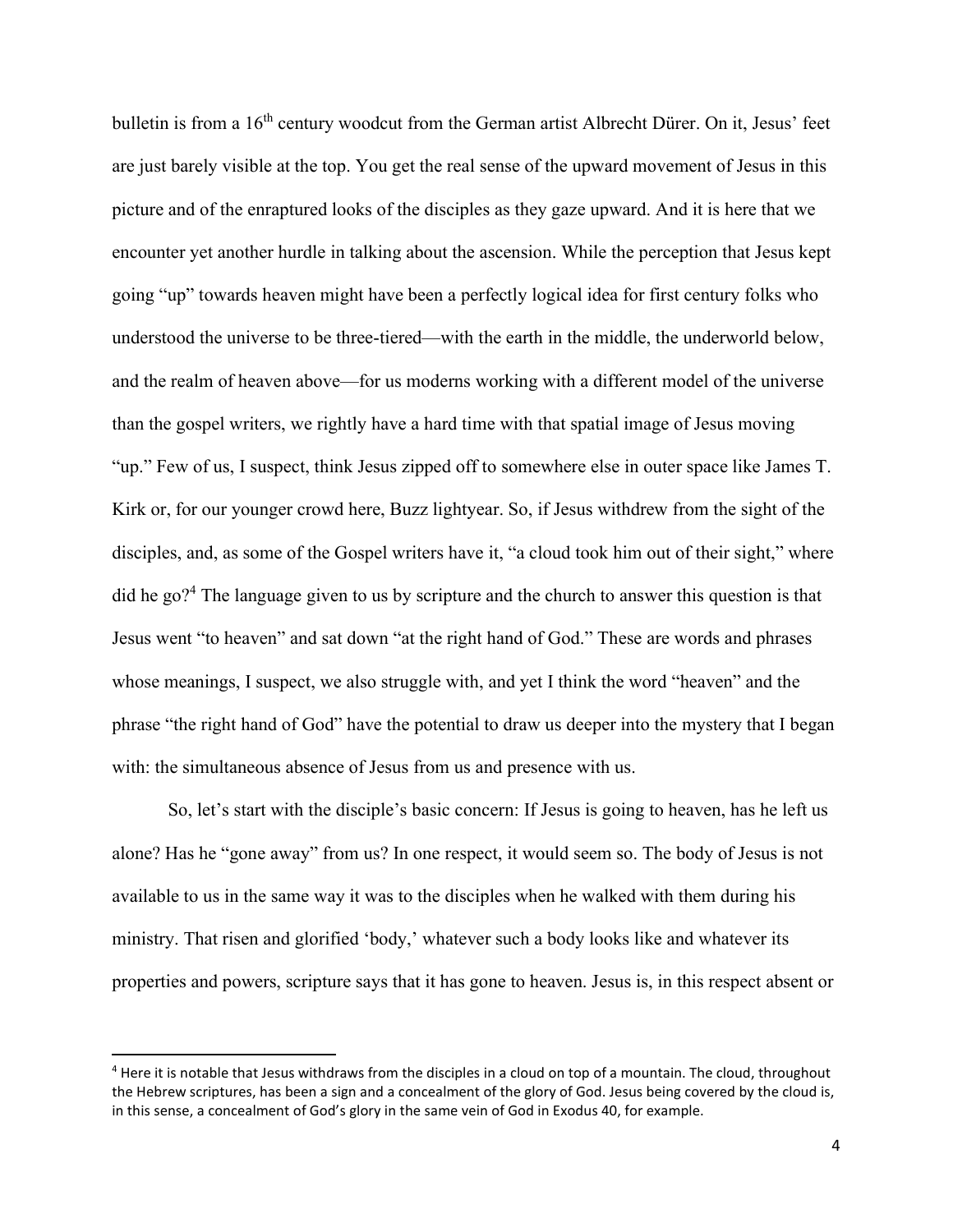bulletin is from a 16<sup>th</sup> century woodcut from the German artist Albrecht Dürer. On it, Jesus' feet are just barely visible at the top. You get the real sense of the upward movement of Jesus in this picture and of the enraptured looks of the disciples as they gaze upward. And it is here that we encounter yet another hurdle in talking about the ascension. While the perception that Jesus kept going "up" towards heaven might have been a perfectly logical idea for first century folks who understood the universe to be three-tiered—with the earth in the middle, the underworld below, and the realm of heaven above—for us moderns working with a different model of the universe than the gospel writers, we rightly have a hard time with that spatial image of Jesus moving "up." Few of us, I suspect, think Jesus zipped off to somewhere else in outer space like James T. Kirk or, for our younger crowd here, Buzz lightyear. So, if Jesus withdrew from the sight of the disciples, and, as some of the Gospel writers have it, "a cloud took him out of their sight," where did he go?<sup>4</sup> The language given to us by scripture and the church to answer this question is that Jesus went "to heaven" and sat down "at the right hand of God." These are words and phrases whose meanings, I suspect, we also struggle with, and yet I think the word "heaven" and the phrase "the right hand of God" have the potential to draw us deeper into the mystery that I began with: the simultaneous absence of Jesus from us and presence with us.

So, let's start with the disciple's basic concern: If Jesus is going to heaven, has he left us alone? Has he "gone away" from us? In one respect, it would seem so. The body of Jesus is not available to us in the same way it was to the disciples when he walked with them during his ministry. That risen and glorified 'body,' whatever such a body looks like and whatever its properties and powers, scripture says that it has gone to heaven. Jesus is, in this respect absent or

<sup>&</sup>lt;sup>4</sup> Here it is notable that Jesus withdraws from the disciples in a cloud on top of a mountain. The cloud, throughout the Hebrew scriptures, has been a sign and a concealment of the glory of God. Jesus being covered by the cloud is, in this sense, a concealment of God's glory in the same vein of God in Exodus 40, for example.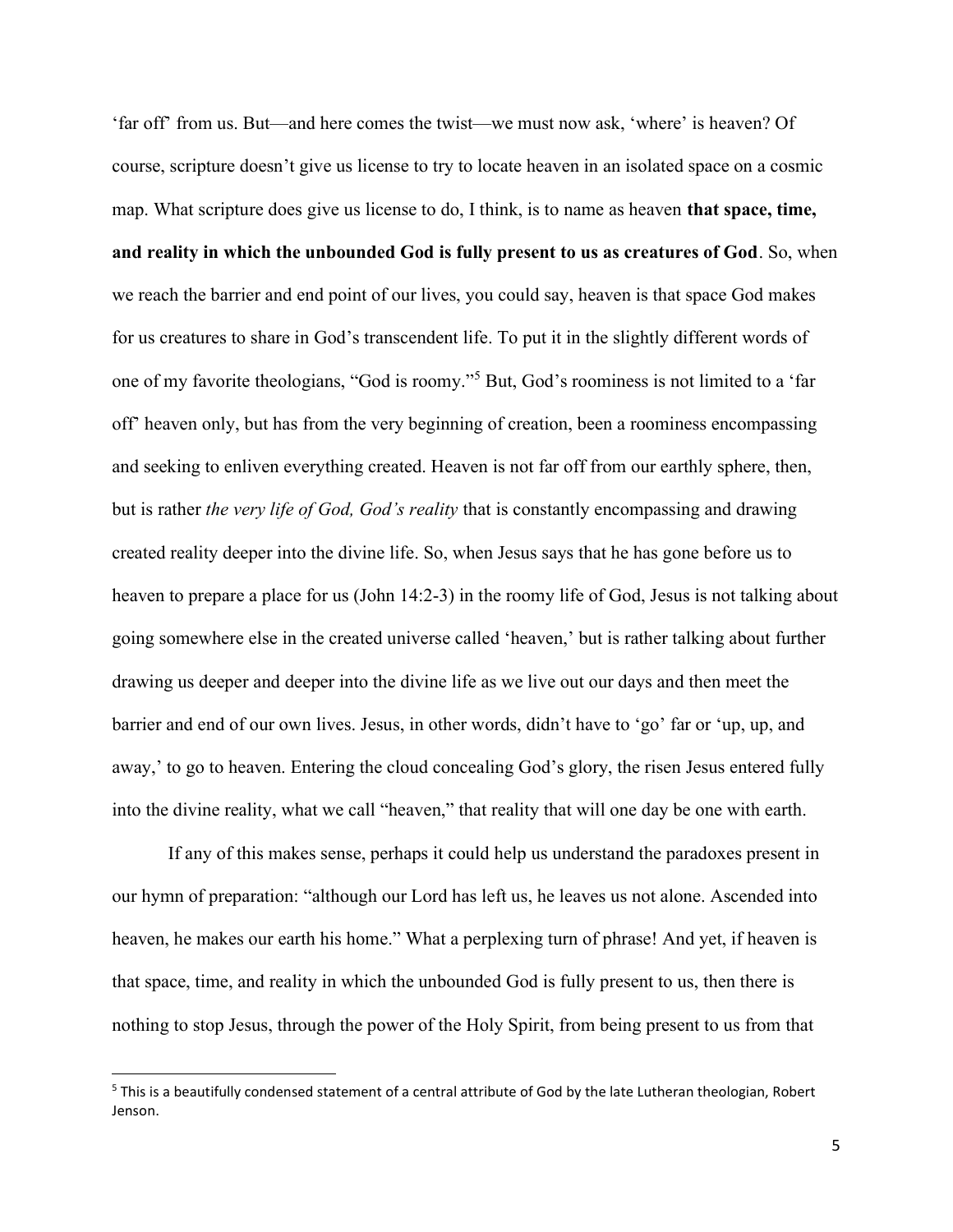'far off' from us. But—and here comes the twist—we must now ask, 'where' is heaven? Of course, scripture doesn't give us license to try to locate heaven in an isolated space on a cosmic map. What scripture does give us license to do, I think, is to name as heaven **that space, time,** and reality in which the unbounded God is fully present to us as creatures of God. So, when we reach the barrier and end point of our lives, you could say, heaven is that space God makes for us creatures to share in God's transcendent life. To put it in the slightly different words of one of my favorite theologians, "God is roomy."<sup>5</sup> But, God's roominess is not limited to a 'far off' heaven only, but has from the very beginning of creation, been a roominess encompassing and seeking to enliven everything created. Heaven is not far off from our earthly sphere, then, but is rather the very life of God, God's reality that is constantly encompassing and drawing created reality deeper into the divine life. So, when Jesus says that he has gone before us to heaven to prepare a place for us (John 14:2-3) in the roomy life of God, Jesus is not talking about going somewhere else in the created universe called 'heaven,' but is rather talking about further drawing us deeper and deeper into the divine life as we live out our days and then meet the barrier and end of our own lives. Jesus, in other words, didn't have to 'go' far or 'up, up, and away,' to go to heaven. Entering the cloud concealing God's glory, the risen Jesus entered fully into the divine reality, what we call "heaven," that reality that will one day be one with earth.

If any of this makes sense, perhaps it could help us understand the paradoxes present in our hymn of preparation: "although our Lord has left us, he leaves us not alone. Ascended into heaven, he makes our earth his home." What a perplexing turn of phrase! And yet, if heaven is that space, time, and reality in which the unbounded God is fully present to us, then there is nothing to stop Jesus, through the power of the Holy Spirit, from being present to us from that

<sup>&</sup>lt;sup>5</sup> This is a beautifully condensed statement of a central attribute of God by the late Lutheran theologian, Robert Jenson.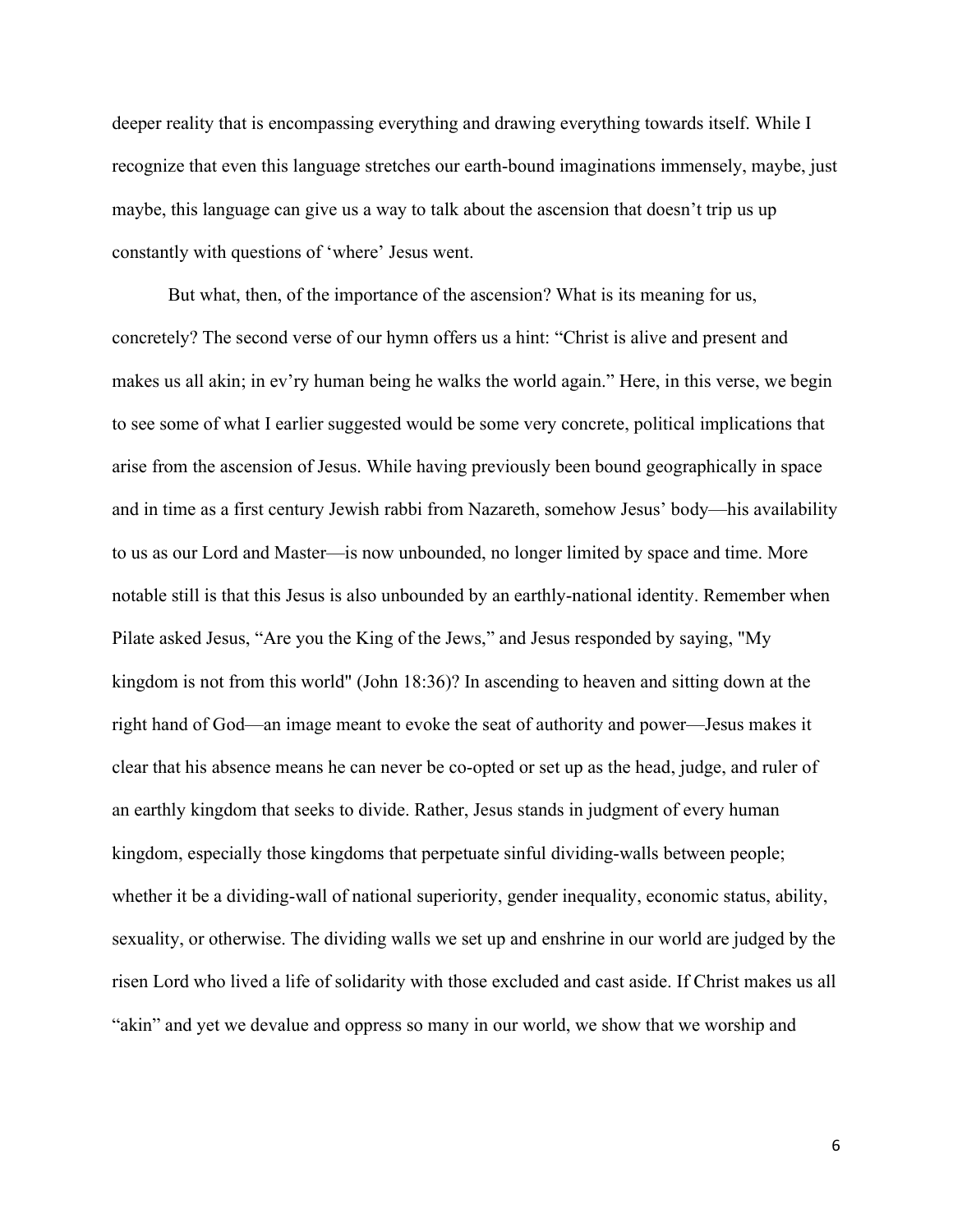deeper reality that is encompassing everything and drawing everything towards itself. While I recognize that even this language stretches our earth-bound imaginations immensely, maybe, just maybe, this language can give us a way to talk about the ascension that doesn't trip us up constantly with questions of 'where' Jesus went.

But what, then, of the importance of the ascension? What is its meaning for us, concretely? The second verse of our hymn offers us a hint: "Christ is alive and present and makes us all akin; in ev'ry human being he walks the world again." Here, in this verse, we begin to see some of what I earlier suggested would be some very concrete, political implications that arise from the ascension of Jesus. While having previously been bound geographically in space and in time as a first century Jewish rabbi from Nazareth, somehow Jesus' body—his availability to us as our Lord and Master—is now unbounded, no longer limited by space and time. More notable still is that this Jesus is also unbounded by an earthly-national identity. Remember when Pilate asked Jesus, "Are you the King of the Jews," and Jesus responded by saying, "My kingdom is not from this world" (John 18:36)? In ascending to heaven and sitting down at the right hand of God—an image meant to evoke the seat of authority and power—Jesus makes it clear that his absence means he can never be co-opted or set up as the head, judge, and ruler of an earthly kingdom that seeks to divide. Rather, Jesus stands in judgment of every human kingdom, especially those kingdoms that perpetuate sinful dividing-walls between people; whether it be a dividing-wall of national superiority, gender inequality, economic status, ability, sexuality, or otherwise. The dividing walls we set up and enshrine in our world are judged by the risen Lord who lived a life of solidarity with those excluded and cast aside. If Christ makes us all "akin" and yet we devalue and oppress so many in our world, we show that we worship and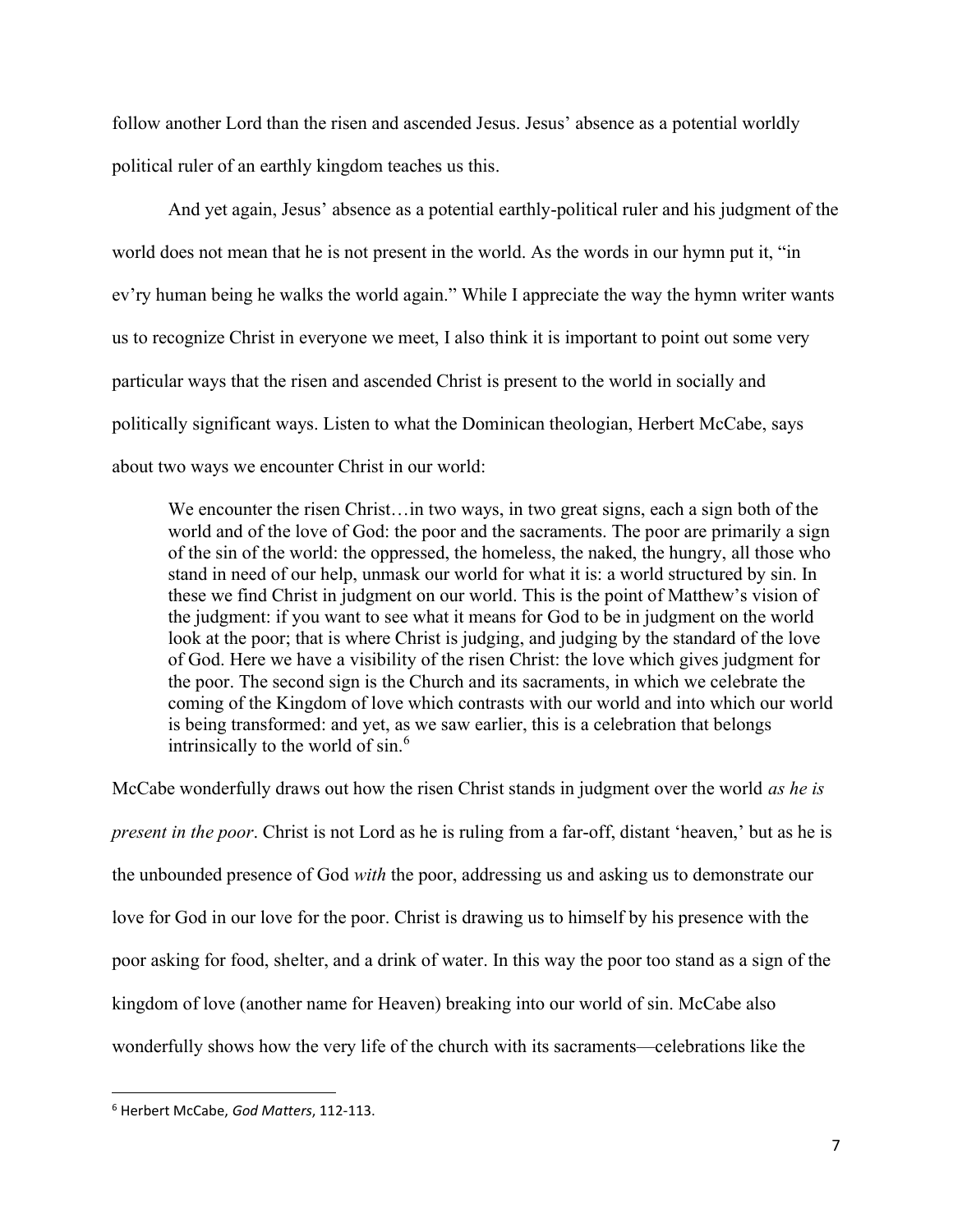follow another Lord than the risen and ascended Jesus. Jesus' absence as a potential worldly political ruler of an earthly kingdom teaches us this.

And yet again, Jesus' absence as a potential earthly-political ruler and his judgment of the world does not mean that he is not present in the world. As the words in our hymn put it, "in ev'ry human being he walks the world again." While I appreciate the way the hymn writer wants us to recognize Christ in everyone we meet, I also think it is important to point out some very particular ways that the risen and ascended Christ is present to the world in socially and politically significant ways. Listen to what the Dominican theologian, Herbert McCabe, says about two ways we encounter Christ in our world:

We encounter the risen Christ... in two ways, in two great signs, each a sign both of the world and of the love of God: the poor and the sacraments. The poor are primarily a sign of the sin of the world: the oppressed, the homeless, the naked, the hungry, all those who stand in need of our help, unmask our world for what it is: a world structured by sin. In these we find Christ in judgment on our world. This is the point of Matthew's vision of the judgment: if you want to see what it means for God to be in judgment on the world look at the poor; that is where Christ is judging, and judging by the standard of the love of God. Here we have a visibility of the risen Christ: the love which gives judgment for the poor. The second sign is the Church and its sacraments, in which we celebrate the coming of the Kingdom of love which contrasts with our world and into which our world is being transformed: and yet, as we saw earlier, this is a celebration that belongs intrinsically to the world of  $sin<sup>6</sup>$ .

McCabe wonderfully draws out how the risen Christ stands in judgment over the world *as he is* present in the poor. Christ is not Lord as he is ruling from a far-off, distant 'heaven,' but as he is the unbounded presence of God with the poor, addressing us and asking us to demonstrate our love for God in our love for the poor. Christ is drawing us to himself by his presence with the poor asking for food, shelter, and a drink of water. In this way the poor too stand as a sign of the kingdom of love (another name for Heaven) breaking into our world of sin. McCabe also wonderfully shows how the very life of the church with its sacraments—celebrations like the

<sup>&</sup>lt;sup>6</sup> Herbert McCabe, God Matters, 112-113.